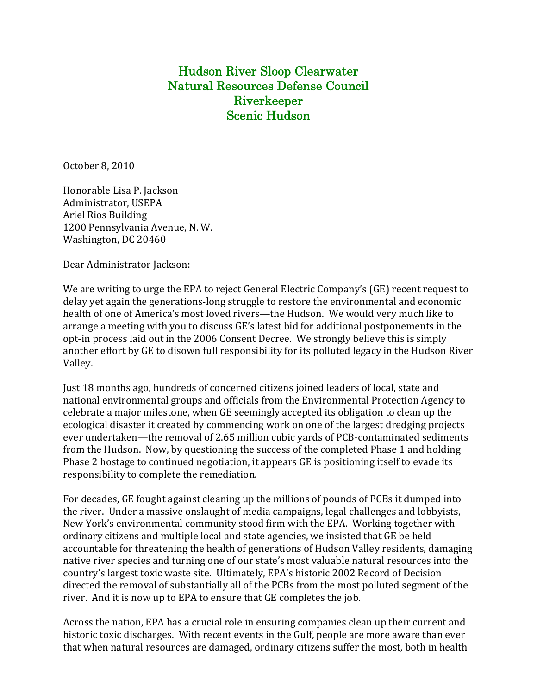Hudson River Sloop Clearwater Natural Resources Defense Council Riverkeeper Scenic Hudson

October 8, 2010

Honorable Lisa P. Jackson Administrator, USEPA Ariel Rios Building 1200 Pennsylvania Avenue, N. W. Washington, DC 20460

Dear Administrator Jackson:

We are writing to urge the EPA to reject General Electric Company's (GE) recent request to delay yet again the generations‐long struggle to restore the environmental and economic health of one of America's most loved rivers—the Hudson. We would very much like to arrange a meeting with you to discuss GE's latest bid for additional postponements in the opt-in process laid out in the 2006 Consent Decree. We strongly believe this is simply another effort by GE to disown full responsibility for its polluted legacy in the Hudson River Valley.

Just 18 months ago, hundreds of concerned citizens joined leaders of local, state and national environmental groups and officials from the Environmental Protection Agency to celebrate a major milestone, when GE seemingly accepted its obligation to clean up the ecological disaster it created by commencing work on one of the largest dredging projects ever undertaken—the removal of 2.65 million cubic vards of PCB-contaminated sediments from the Hudson. Now, by questioning the success of the completed Phase 1 and holding Phase 2 hostage to continued negotiation, it appears GE is positioning itself to evade its responsibility to complete the remediation.

For decades, GE fought against cleaning up the millions of pounds of PCBs it dumped into the river. Under a massive onslaught of media campaigns, legal challenges and lobbyists, New York's environmental community stood firm with the EPA. Working together with ordinary citizens and multiple local and state agencies, we insisted that GE be held accountable for threatening the health of generations of Hudson Valley residents, damaging native river species and turning one of our state's most valuable natural resources into the country's largest toxic waste site. Ultimately, EPA's historic 2002 Record of Decision directed the removal of substantially all of the PCBs from the most polluted segment of the river. And it is now up to EPA to ensure that GE completes the job.

Across the nation, EPA has a crucial role in ensuring companies clean up their current and historic toxic discharges. With recent events in the Gulf, people are more aware than ever that when natural resources are damaged, ordinary citizens suffer the most, both in health